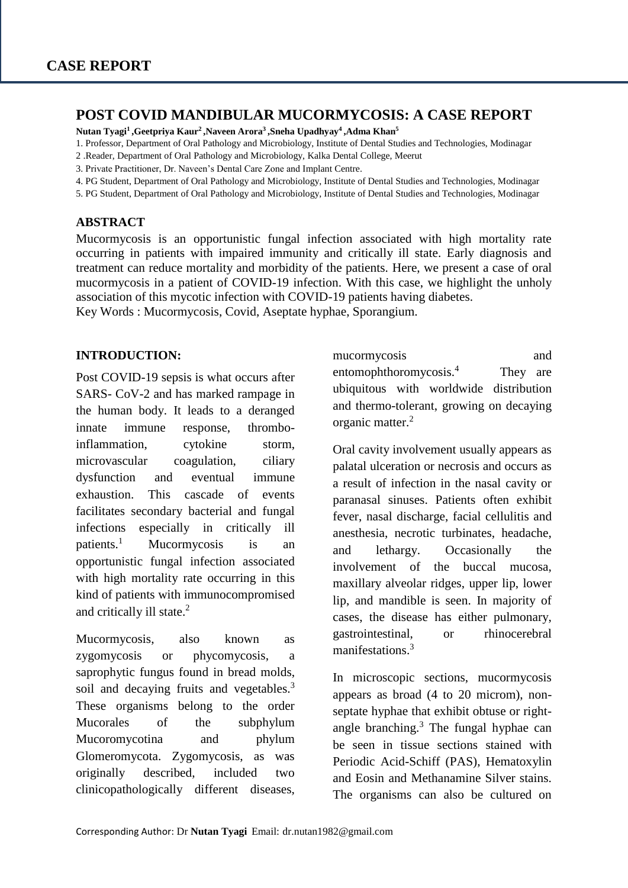### **POST COVID MANDIBULAR MUCORMYCOSIS: A CASE REPORT**

**Nutan Tyagi<sup>1</sup> ,Geetpriya Kaur<sup>2</sup> ,Naveen Arora<sup>3</sup> ,Sneha Upadhyay<sup>4</sup> ,Adma Khan<sup>5</sup>**

- 1. Professor, Department of Oral Pathology and Microbiology, Institute of Dental Studies and Technologies, Modinagar
- 2 .Reader, Department of Oral Pathology and Microbiology, Kalka Dental College, Meerut
- 3. Private Practitioner, Dr. Naveen's Dental Care Zone and Implant Centre.
- 4. PG Student, Department of Oral Pathology and Microbiology, Institute of Dental Studies and Technologies, Modinagar
- 5. PG Student, Department of Oral Pathology and Microbiology, Institute of Dental Studies and Technologies, Modinagar

#### **ABSTRACT**

Mucormycosis is an opportunistic fungal infection associated with high mortality rate occurring in patients with impaired immunity and critically ill state. Early diagnosis and treatment can reduce mortality and morbidity of the patients. Here, we present a case of oral mucormycosis in a patient of COVID-19 infection. With this case, we highlight the unholy association of this mycotic infection with COVID-19 patients having diabetes. Key Words : Mucormycosis, Covid, Aseptate hyphae, Sporangium.

#### **INTRODUCTION:**

Post COVID-19 sepsis is what occurs after SARS- CoV-2 and has marked rampage in the human body. It leads to a deranged innate immune response, thromboinflammation, cytokine storm, microvascular coagulation, ciliary dysfunction and eventual immune exhaustion. This cascade of events facilitates secondary bacterial and fungal infections especially in critically ill patients.<sup>1</sup> Mucormycosis is an opportunistic fungal infection associated with high mortality rate occurring in this kind of patients with immunocompromised and critically ill state.<sup>2</sup>

Mucormycosis, also known as zygomycosis or phycomycosis, a saprophytic fungus found in bread molds, soil and decaying fruits and vegetables.<sup>3</sup> These organisms belong to the order Mucorales of the subphylum Mucoromycotina and phylum Glomeromycota. Zygomycosis, as was originally described, included two clinicopathologically different diseases,

mucormycosis and entomophthoromycosis.<sup>4</sup> They are ubiquitous with worldwide distribution and thermo-tolerant, growing on decaying organic matter.<sup>2</sup>

Oral cavity involvement usually appears as palatal ulceration or necrosis and occurs as a result of infection in the nasal cavity or paranasal sinuses. Patients often exhibit fever, nasal discharge, facial cellulitis and anesthesia, necrotic turbinates, headache, and lethargy. Occasionally the involvement of the buccal mucosa, maxillary alveolar ridges, upper lip, lower lip, and mandible is seen. In majority of cases, the disease has either pulmonary, gastrointestinal, or rhinocerebral manifestations.<sup>3</sup>

In microscopic sections, mucormycosis appears as broad (4 to 20 microm), nonseptate hyphae that exhibit obtuse or rightangle branching. $3$  The fungal hyphae can be seen in tissue sections stained with Periodic Acid-Schiff (PAS), Hematoxylin and Eosin and Methanamine Silver stains. The organisms can also be cultured on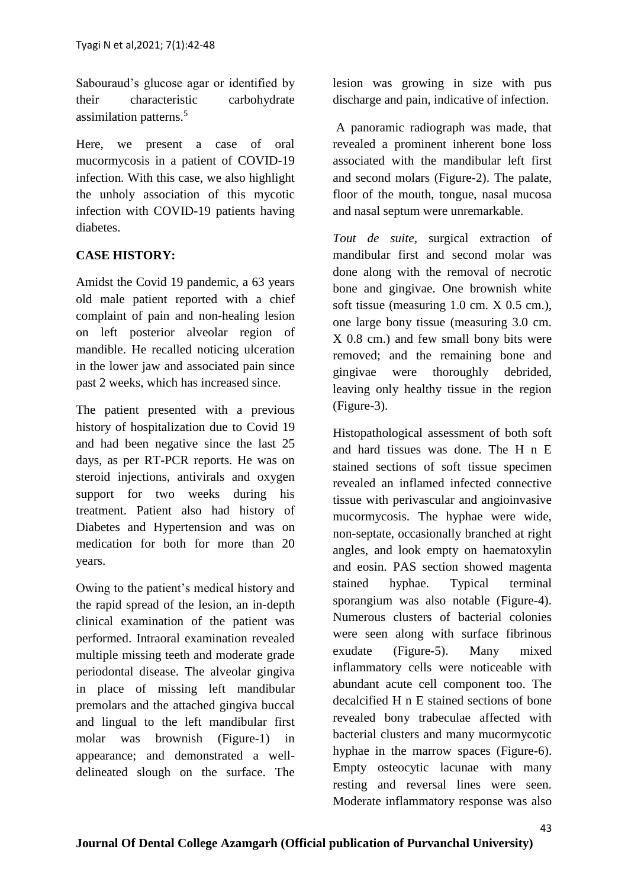Sabouraud's glucose agar or identified by their characteristic carbohydrate assimilation patterns.<sup>5</sup>

Here, we present a case of oral mucormycosis in a patient of COVID-19 infection. With this case, we also highlight the unholy association of this mycotic infection with COVID-19 patients having diabetes.

## **CASE HISTORY:**

Amidst the Covid 19 pandemic, a 63 years old male patient reported with a chief complaint of pain and non-healing lesion on left posterior alveolar region of mandible. He recalled noticing ulceration in the lower jaw and associated pain since past 2 weeks, which has increased since.

The patient presented with a previous history of hospitalization due to Covid 19 and had been negative since the last 25 days, as per RT-PCR reports. He was on steroid injections, antivirals and oxygen support for two weeks during his treatment. Patient also had history of Diabetes and Hypertension and was on medication for both for more than 20 years.

Owing to the patient's medical history and the rapid spread of the lesion, an in-depth clinical examination of the patient was performed. Intraoral examination revealed multiple missing teeth and moderate grade periodontal disease. The alveolar gingiva in place of missing left mandibular premolars and the attached gingiva buccal and lingual to the left mandibular first molar was brownish (Figure-1) in appearance; and demonstrated a welldelineated slough on the surface. The

lesion was growing in size with pus discharge and pain, indicative of infection.

A panoramic radiograph was made, that revealed a prominent inherent bone loss associated with the mandibular left first and second molars (Figure-2). The palate, floor of the mouth, tongue, nasal mucosa and nasal septum were unremarkable.

*Tout de suite*, surgical extraction of mandibular first and second molar was done along with the removal of necrotic bone and gingivae. One brownish white soft tissue (measuring 1.0 cm. X 0.5 cm.), one large bony tissue (measuring 3.0 cm. X 0.8 cm.) and few small bony bits were removed; and the remaining bone and gingivae were thoroughly debrided, leaving only healthy tissue in the region (Figure-3).

Histopathological assessment of both soft and hard tissues was done. The H n E stained sections of soft tissue specimen revealed an inflamed infected connective tissue with perivascular and angioinvasive mucormycosis. The hyphae were wide, non-septate, occasionally branched at right angles, and look empty on haematoxylin and eosin. PAS section showed magenta stained hyphae. Typical terminal sporangium was also notable (Figure-4). Numerous clusters of bacterial colonies were seen along with surface fibrinous exudate (Figure-5). Many mixed inflammatory cells were noticeable with abundant acute cell component too. The decalcified H n E stained sections of bone revealed bony trabeculae affected with bacterial clusters and many mucormycotic hyphae in the marrow spaces (Figure-6). Empty osteocytic lacunae with many resting and reversal lines were seen. Moderate inflammatory response was also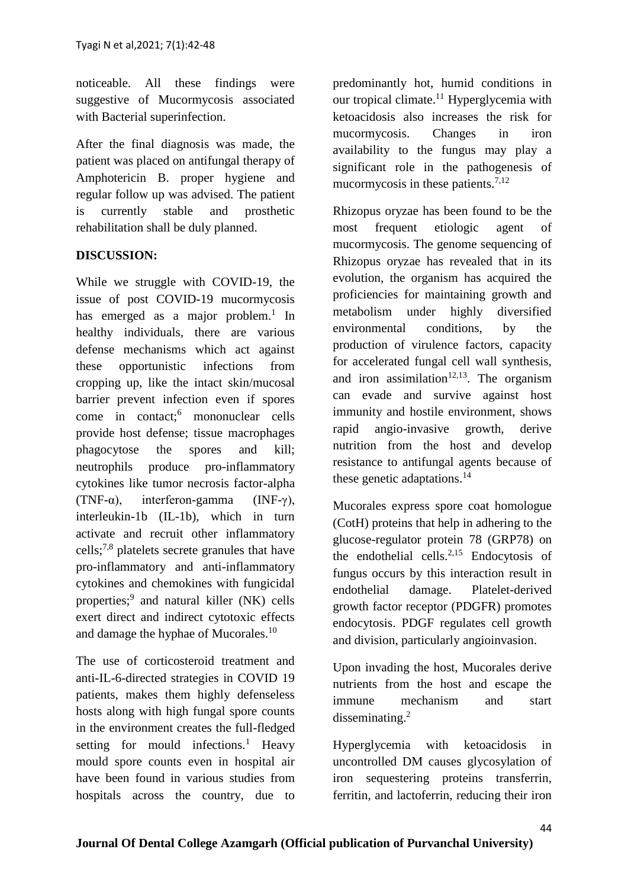noticeable. All these findings were suggestive of Mucormycosis associated with Bacterial superinfection.

After the final diagnosis was made, the patient was placed on antifungal therapy of Amphotericin B. proper hygiene and regular follow up was advised. The patient is currently stable and prosthetic rehabilitation shall be duly planned.

## **DISCUSSION:**

While we struggle with COVID-19, the issue of post COVID-19 mucormycosis has emerged as a major problem.<sup>1</sup> In healthy individuals, there are various defense mechanisms which act against these opportunistic infections from cropping up, like the intact skin/mucosal barrier prevent infection even if spores come in contact;<sup>6</sup> mononuclear cells provide host defense; tissue macrophages phagocytose the spores and kill; neutrophils produce pro-inflammatory cytokines like tumor necrosis factor-alpha (TNF- $\alpha$ ), interferon-gamma (INF- $\gamma$ ), interleukin-1b (IL-1b), which in turn activate and recruit other inflammatory cells;7,8 platelets secrete granules that have pro-inflammatory and anti-inflammatory cytokines and chemokines with fungicidal properties;<sup>9</sup> and natural killer (NK) cells exert direct and indirect cytotoxic effects and damage the hyphae of Mucorales.<sup>10</sup>

The use of corticosteroid treatment and anti-IL-6-directed strategies in COVID 19 patients, makes them highly defenseless hosts along with high fungal spore counts in the environment creates the full-fledged setting for mould infections.<sup>1</sup> Heavy mould spore counts even in hospital air have been found in various studies from hospitals across the country, due to

predominantly hot, humid conditions in our tropical climate. $11$  Hyperglycemia with ketoacidosis also increases the risk for mucormycosis. Changes in iron availability to the fungus may play a significant role in the pathogenesis of mucormycosis in these patients.<sup>7,12</sup>

Rhizopus oryzae has been found to be the most frequent etiologic agent mucormycosis. The genome sequencing of Rhizopus oryzae has revealed that in its evolution, the organism has acquired the proficiencies for maintaining growth and metabolism under highly diversified environmental conditions, by the production of virulence factors, capacity for accelerated fungal cell wall synthesis, and iron assimilation<sup>12,13</sup>. The organism can evade and survive against host immunity and hostile environment, shows rapid angio-invasive growth, derive nutrition from the host and develop resistance to antifungal agents because of these genetic adaptations. $14$ 

Mucorales express spore coat homologue (CotH) proteins that help in adhering to the glucose-regulator protein 78 (GRP78) on the endothelial cells. $^{2,15}$  Endocytosis of fungus occurs by this interaction result in endothelial damage. Platelet-derived growth factor receptor (PDGFR) promotes endocytosis. PDGF regulates cell growth and division, particularly angioinvasion.

Upon invading the host, Mucorales derive nutrients from the host and escape the immune mechanism and start disseminating.<sup>2</sup>

Hyperglycemia with ketoacidosis in uncontrolled DM causes glycosylation of iron sequestering proteins transferrin, ferritin, and lactoferrin, reducing their iron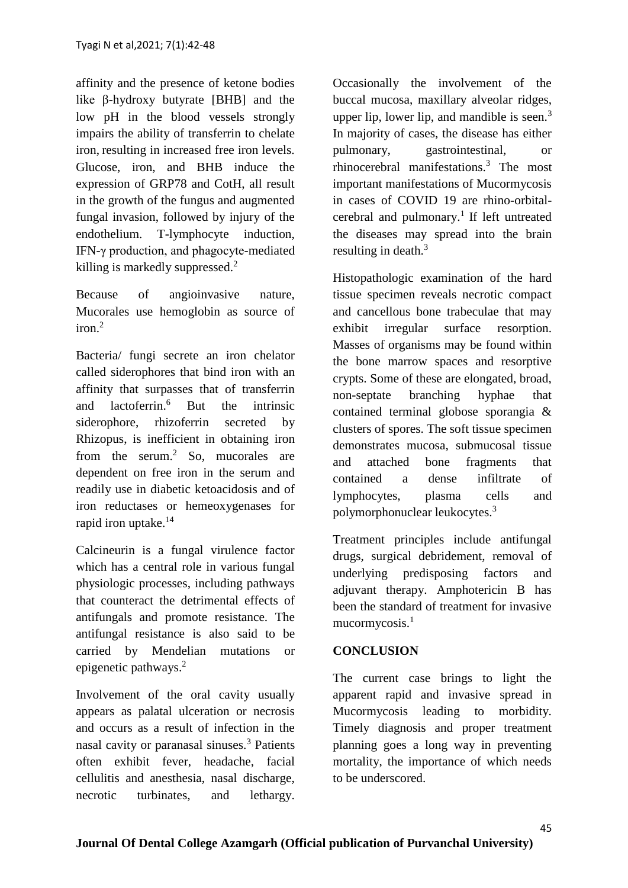affinity and the presence of ketone bodies like β-hydroxy butyrate [BHB] and the low pH in the blood vessels strongly impairs the ability of transferrin to chelate iron, resulting in increased free iron levels. Glucose, iron, and BHB induce the expression of GRP78 and CotH, all result in the growth of the fungus and augmented fungal invasion, followed by injury of the endothelium. T-lymphocyte induction, IFN-γ production, and phagocyte-mediated killing is markedly suppressed.<sup>2</sup>

Because of angioinvasive nature, Mucorales use hemoglobin as source of  $i$ ron $^2$ 

Bacteria/ fungi secrete an iron chelator called siderophores that bind iron with an affinity that surpasses that of transferrin and lactoferrin.<sup>6</sup> But the intrinsic siderophore, rhizoferrin secreted by Rhizopus, is inefficient in obtaining iron from the serum.<sup>2</sup> So, mucorales are dependent on free iron in the serum and readily use in diabetic ketoacidosis and of iron reductases or hemeoxygenases for rapid iron uptake.<sup>14</sup>

Calcineurin is a fungal virulence factor which has a central role in various fungal physiologic processes, including pathways that counteract the detrimental effects of antifungals and promote resistance. The antifungal resistance is also said to be carried by Mendelian mutations or epigenetic pathways.<sup>2</sup>

Involvement of the oral cavity usually appears as palatal ulceration or necrosis and occurs as a result of infection in the nasal cavity or paranasal sinuses.<sup>3</sup> Patients often exhibit fever, headache, facial cellulitis and anesthesia, nasal discharge, necrotic turbinates, and lethargy.

Occasionally the involvement of the buccal mucosa, maxillary alveolar ridges, upper lip, lower lip, and mandible is seen.<sup>3</sup> In majority of cases, the disease has either pulmonary, gastrointestinal, or rhinocerebral manifestations.<sup>3</sup> The most important manifestations of Mucormycosis in cases of COVID 19 are rhino-orbitalcerebral and pulmonary.<sup>1</sup> If left untreated the diseases may spread into the brain resulting in death.<sup>3</sup>

Histopathologic examination of the hard tissue specimen reveals necrotic compact and cancellous bone trabeculae that may exhibit irregular surface resorption. Masses of organisms may be found within the bone marrow spaces and resorptive crypts. Some of these are elongated, broad, non-septate branching hyphae that contained terminal globose sporangia & clusters of spores. The soft tissue specimen demonstrates mucosa, submucosal tissue and attached bone fragments that contained a dense infiltrate of lymphocytes, plasma cells and polymorphonuclear leukocytes.<sup>3</sup>

Treatment principles include antifungal drugs, surgical debridement, removal of underlying predisposing factors and adjuvant therapy. Amphotericin B has been the standard of treatment for invasive mucormycosis.<sup>1</sup>

## **CONCLUSION**

The current case brings to light the apparent rapid and invasive spread in Mucormycosis leading to morbidity. Timely diagnosis and proper treatment planning goes a long way in preventing mortality, the importance of which needs to be underscored.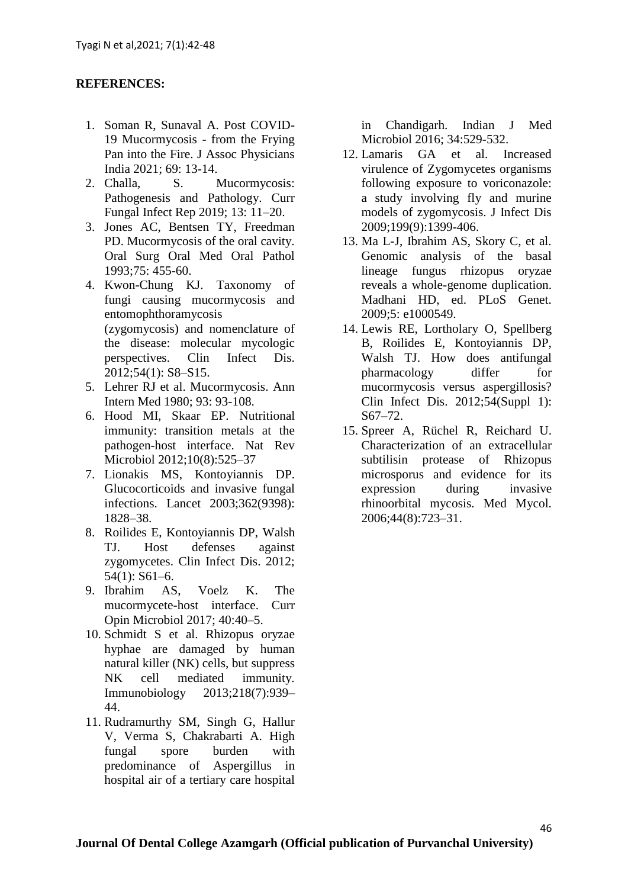## **REFERENCES:**

- 1. Soman R, Sunaval A. Post COVID-19 Mucormycosis - from the Frying Pan into the Fire. J Assoc Physicians India 2021; 69: 13-14.
- 2. Challa, S. Mucormycosis: Pathogenesis and Pathology. Curr Fungal Infect Rep 2019; 13: 11–20.
- 3. Jones AC, Bentsen TY, Freedman PD. Mucormycosis of the oral cavity. Oral Surg Oral Med Oral Pathol 1993;75: 455-60.
- 4. Kwon-Chung KJ. Taxonomy of fungi causing mucormycosis and entomophthoramycosis (zygomycosis) and nomenclature of the disease: molecular mycologic perspectives. Clin Infect Dis. 2012;54(1): S8–S15.
- 5. Lehrer RJ et al. Mucormycosis. Ann Intern Med 1980; 93: 93-108.
- 6. Hood MI, Skaar EP. Nutritional immunity: transition metals at the pathogen-host interface. Nat Rev Microbiol 2012;10(8):525–37
- 7. Lionakis MS, Kontoyiannis DP. Glucocorticoids and invasive fungal infections. Lancet 2003;362(9398): 1828–38.
- 8. Roilides E, Kontoyiannis DP, Walsh TJ. Host defenses against zygomycetes. Clin Infect Dis. 2012; 54(1): S61–6.
- 9. Ibrahim AS, Voelz K. The mucormycete-host interface. Curr Opin Microbiol 2017; 40:40–5.
- 10. Schmidt S et al. Rhizopus oryzae hyphae are damaged by human natural killer (NK) cells, but suppress NK cell mediated immunity. Immunobiology 2013;218(7):939– 44.
- 11. Rudramurthy SM, Singh G, Hallur V, Verma S, Chakrabarti A. High fungal spore burden with predominance of Aspergillus in hospital air of a tertiary care hospital

in Chandigarh. Indian J Med Microbiol 2016; 34:529-532.

- 12. Lamaris GA et al. Increased virulence of Zygomycetes organisms following exposure to voriconazole: a study involving fly and murine models of zygomycosis. J Infect Dis 2009;199(9):1399-406.
- 13. Ma L-J, Ibrahim AS, Skory C, et al. Genomic analysis of the basal lineage fungus rhizopus oryzae reveals a whole-genome duplication. Madhani HD, ed. PLoS Genet. 2009;5: e1000549.
- 14. Lewis RE, Lortholary O, Spellberg B, Roilides E, Kontoyiannis DP, Walsh TJ. How does antifungal pharmacology differ for mucormycosis versus aspergillosis? Clin Infect Dis. 2012;54(Suppl 1): S67–72.
- 15. Spreer A, Rüchel R, Reichard U. Characterization of an extracellular subtilisin protease of Rhizopus microsporus and evidence for its expression during invasive rhinoorbital mycosis. Med Mycol. 2006;44(8):723–31.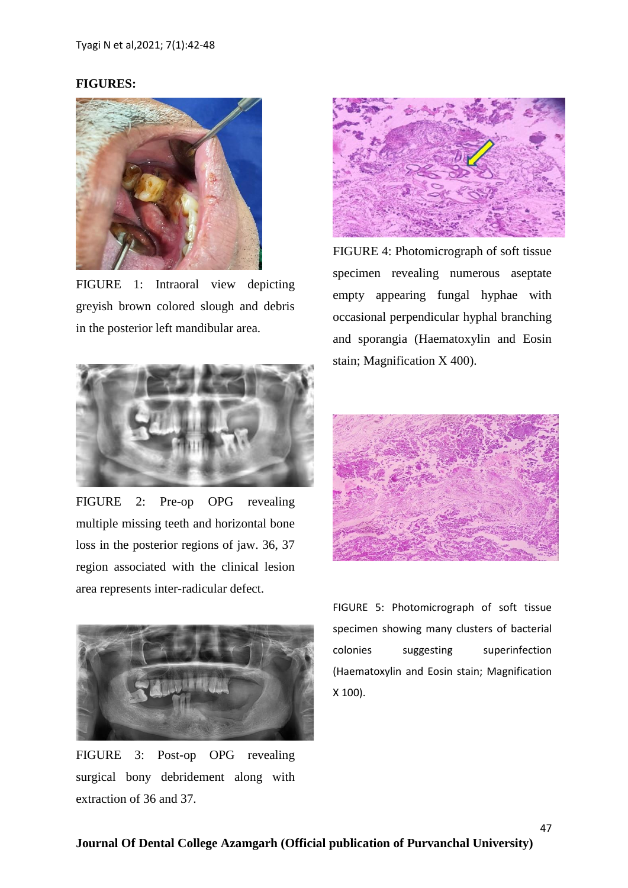# **FIGURES:**



FIGURE 1: Intraoral view depicting greyish brown colored slough and debris in the posterior left mandibular area.



FIGURE 2: Pre-op OPG revealing multiple missing teeth and horizontal bone loss in the posterior regions of jaw. 36, 37 region associated with the clinical lesion area represents inter-radicular defect.



FIGURE 3: Post-op OPG revealing surgical bony debridement along with extraction of 36 and 37.



FIGURE 4: Photomicrograph of soft tissue specimen revealing numerous aseptate empty appearing fungal hyphae with occasional perpendicular hyphal branching and sporangia (Haematoxylin and Eosin stain; Magnification X 400).



FIGURE 5: Photomicrograph of soft tissue specimen showing many clusters of bacterial colonies suggesting superinfection (Haematoxylin and Eosin stain; Magnification X 100).